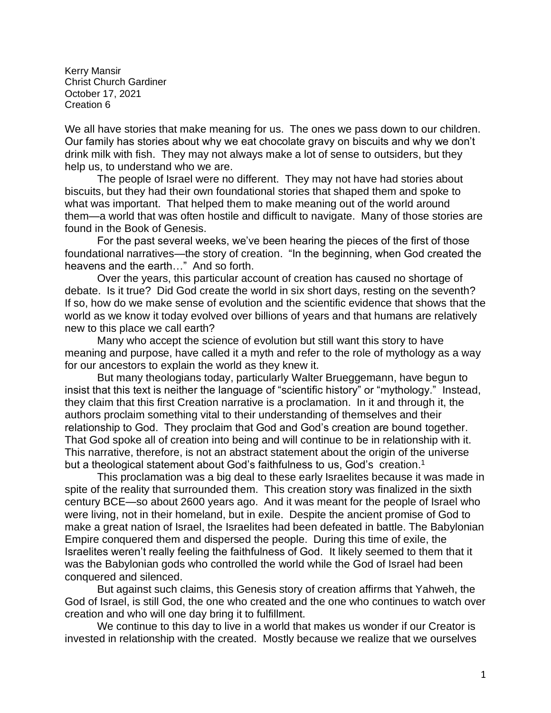Kerry Mansir Christ Church Gardiner October 17, 2021 Creation 6

We all have stories that make meaning for us. The ones we pass down to our children. Our family has stories about why we eat chocolate gravy on biscuits and why we don't drink milk with fish. They may not always make a lot of sense to outsiders, but they help us, to understand who we are.

The people of Israel were no different. They may not have had stories about biscuits, but they had their own foundational stories that shaped them and spoke to what was important. That helped them to make meaning out of the world around them—a world that was often hostile and difficult to navigate. Many of those stories are found in the Book of Genesis.

For the past several weeks, we've been hearing the pieces of the first of those foundational narratives—the story of creation. "In the beginning, when God created the heavens and the earth…" And so forth.

Over the years, this particular account of creation has caused no shortage of debate. Is it true? Did God create the world in six short days, resting on the seventh? If so, how do we make sense of evolution and the scientific evidence that shows that the world as we know it today evolved over billions of years and that humans are relatively new to this place we call earth?

Many who accept the science of evolution but still want this story to have meaning and purpose, have called it a myth and refer to the role of mythology as a way for our ancestors to explain the world as they knew it.

But many theologians today, particularly Walter Brueggemann, have begun to insist that this text is neither the language of "scientific history" or "mythology." Instead, they claim that this first Creation narrative is a proclamation. In it and through it, the authors proclaim something vital to their understanding of themselves and their relationship to God. They proclaim that God and God's creation are bound together. That God spoke all of creation into being and will continue to be in relationship with it. This narrative, therefore, is not an abstract statement about the origin of the universe but a theological statement about God's faithfulness to us, God's creation.<sup>1</sup>

This proclamation was a big deal to these early Israelites because it was made in spite of the reality that surrounded them. This creation story was finalized in the sixth century BCE—so about 2600 years ago. And it was meant for the people of Israel who were living, not in their homeland, but in exile. Despite the ancient promise of God to make a great nation of Israel, the Israelites had been defeated in battle. The Babylonian Empire conquered them and dispersed the people. During this time of exile, the Israelites weren't really feeling the faithfulness of God. It likely seemed to them that it was the Babylonian gods who controlled the world while the God of Israel had been conquered and silenced.

But against such claims, this Genesis story of creation affirms that Yahweh, the God of Israel, is still God, the one who created and the one who continues to watch over creation and who will one day bring it to fulfillment.

We continue to this day to live in a world that makes us wonder if our Creator is invested in relationship with the created. Mostly because we realize that we ourselves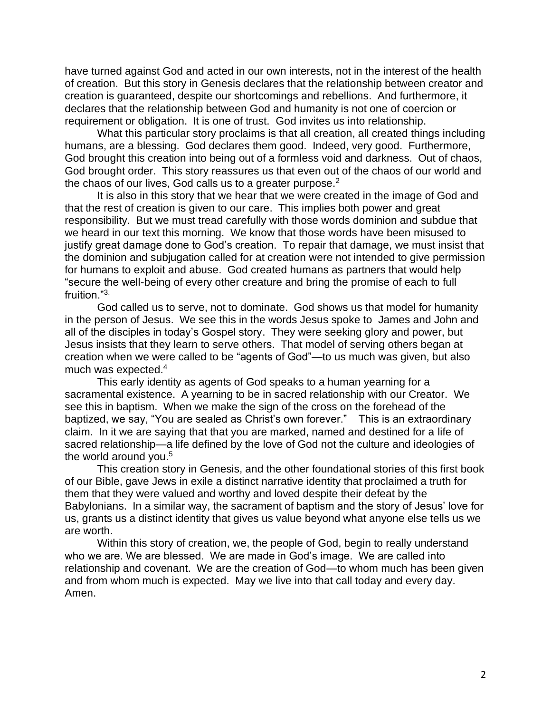have turned against God and acted in our own interests, not in the interest of the health of creation. But this story in Genesis declares that the relationship between creator and creation is guaranteed, despite our shortcomings and rebellions. And furthermore, it declares that the relationship between God and humanity is not one of coercion or requirement or obligation. It is one of trust. God invites us into relationship.

What this particular story proclaims is that all creation, all created things including humans, are a blessing. God declares them good. Indeed, very good. Furthermore, God brought this creation into being out of a formless void and darkness. Out of chaos, God brought order. This story reassures us that even out of the chaos of our world and the chaos of our lives, God calls us to a greater purpose. $2$ 

It is also in this story that we hear that we were created in the image of God and that the rest of creation is given to our care. This implies both power and great responsibility. But we must tread carefully with those words dominion and subdue that we heard in our text this morning. We know that those words have been misused to justify great damage done to God's creation. To repair that damage, we must insist that the dominion and subjugation called for at creation were not intended to give permission for humans to exploit and abuse. God created humans as partners that would help "secure the well-being of every other creature and bring the promise of each to full fruition<sup>"3.</sup>

God called us to serve, not to dominate. God shows us that model for humanity in the person of Jesus. We see this in the words Jesus spoke to James and John and all of the disciples in today's Gospel story. They were seeking glory and power, but Jesus insists that they learn to serve others. That model of serving others began at creation when we were called to be "agents of God"—to us much was given, but also much was expected.<sup>4</sup>

This early identity as agents of God speaks to a human yearning for a sacramental existence. A yearning to be in sacred relationship with our Creator. We see this in baptism. When we make the sign of the cross on the forehead of the baptized, we say, "You are sealed as Christ's own forever." This is an extraordinary claim. In it we are saying that that you are marked, named and destined for a life of sacred relationship—a life defined by the love of God not the culture and ideologies of the world around you.<sup>5</sup>

This creation story in Genesis, and the other foundational stories of this first book of our Bible, gave Jews in exile a distinct narrative identity that proclaimed a truth for them that they were valued and worthy and loved despite their defeat by the Babylonians. In a similar way, the sacrament of baptism and the story of Jesus' love for us, grants us a distinct identity that gives us value beyond what anyone else tells us we are worth.

Within this story of creation, we, the people of God, begin to really understand who we are. We are blessed. We are made in God's image. We are called into relationship and covenant. We are the creation of God—to whom much has been given and from whom much is expected. May we live into that call today and every day. Amen.